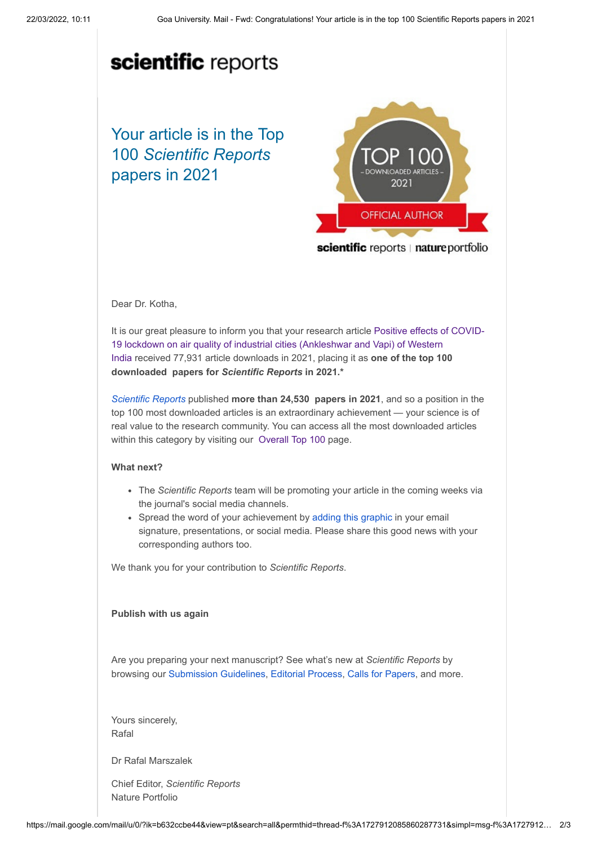# scientific reports

Your article is in the Top 100 *Scientific Reports* papers in 2021



scientific reports | nature portfolio

### Dear Dr. Kotha,

[It is our great pleasure to inform you that your research article Positive effects of COVID-](https://smc-link.s4hana.ondemand.com/eu/data-buffer/sap/public/cuan/link/100/481F33A4F87BD41ACE8E482302EFF79C32810059?_V_=2&_K11_=24FACBD0BB7DB540B7A0EEA020DB4E4AF5B37F3F&_L54AD1F204_=c2NlbmFyaW89TUxDUEcmdGVuYW50PW15MzA0NDI0LnM0aGFuYS5vbmRlbWFuZC5jb20mdGFyZ2V0PWh0dHBzOi8vd3d3Lm5hdHVyZS5jb20vYXJ0aWNsZXMvczQxNTk4LTAyMS04MzM5My05P3NhcC1vdXRib3VuZC1pZD00ODFGMzNBNEY4N0JENDFBQ0U4RTQ4MjMwMkVGRjc5QzMyODEwMDU5JnV0bV9zb3VyY2U9aHlicmlzLWNhbXBhaWduJnV0bV9tZWRpdW09ZW1haWwmdXRtX2NhbXBhaWduPTAwMF9XQU5KMDFfMDAwMDAyMDYzOV9IU0NSXzQxNTk4X0NPTjFfR0xfUEhTU19UT1AyMV9UMTAwX1BoeXMmdXRtX2NvbnRlbnQ9RU5faW50ZXJuYWxfMzg3MjBfMjAyMjAzMjEmbWt0LWtleT00MjAxMEEwRDU1NDQxRUVDOTRBRUI3RTdGNkMwNzY1Mg&_K13_=275&_K14_=43d10a9f5a1cda912541a2501f85efebc4aa8db64505fb11a13f82504c767a69)19 lockdown on air quality of industrial cities (Ankleshwar and Vapi) of Western India received 77,931 article downloads in 2021, placing it as **one of the top 100 downloaded papers for** *Scientific Reports* **in 2021.\***

*[Scientific Reports](https://smc-link.s4hana.ondemand.com/eu/data-buffer/sap/public/cuan/link/100/481F33A4F87BD41ACE8E482302EFF79C32810059?_V_=2&_K11_=3EA83EF5392CB3FB317848B00F35F5B52D10A7CE&_L54AD1F204_=c2NlbmFyaW89TUxDUEcmdGVuYW50PW15MzA0NDI0LnM0aGFuYS5vbmRlbWFuZC5jb20mdGFyZ2V0PWh0dHBzOi8vd3d3Lm5hdHVyZS5jb20vc3JlcC8/c2FwLW91dGJvdW5kLWlkPTQ4MUYzM0E0Rjg3QkQ0MUFDRThFNDgyMzAyRUZGNzlDMzI4MTAwNTkmdXRtX3NvdXJjZT1oeWJyaXMtY2FtcGFpZ24mdXRtX21lZGl1bT1lbWFpbCZ1dG1fY2FtcGFpZ249MDAwX1dBTkowMV8wMDAwMDIwNjM5X0hTQ1JfNDE1OThfQ09OMV9HTF9QSFNTX1RPUDIxX1QxMDBfUGh5cyZ1dG1fY29udGVudD1FTl9pbnRlcm5hbF8zODcyMF8yMDIyMDMyMSZta3Qta2V5PTQyMDEwQTBENTU0NDFFRUM5NEFFQjdFN0Y2QzA3NjUy&_K13_=275&_K14_=100e8ece024942c232c6e85311cff00eb97bd342b306e143a6b80dc3a1061b42)* published **more than 24,530 papers in 2021**, and so a position in the top 100 most downloaded articles is an extraordinary achievement — your science is of real value to the research community. You can access all the most downloaded articles within this category by visiting our [Overall Top 100](https://smc-link.s4hana.ondemand.com/eu/data-buffer/sap/public/cuan/link/100/481F33A4F87BD41ACE8E482302EFF79C32810059?_V_=2&_K11_=24FACBD0BB7DB540B7A0EEA020DB4E4AF5B37F3F&_L54AD1F204_=c2NlbmFyaW89TUxDUEcmdGVuYW50PW15MzA0NDI0LnM0aGFuYS5vbmRlbWFuZC5jb20mdGFyZ2V0PWh0dHBzOi8vd3d3Lm5hdHVyZS5jb20vY29sbGVjdGlvbnMvZmhoZGJoZWpjYS8/c2FwLW91dGJvdW5kLWlkPTQ4MUYzM0E0Rjg3QkQ0MUFDRThFNDgyMzAyRUZGNzlDMzI4MTAwNTkmdXRtX3NvdXJjZT1oeWJyaXMtY2FtcGFpZ24mdXRtX21lZGl1bT1lbWFpbCZ1dG1fY2FtcGFpZ249MDAwX1dBTkowMV8wMDAwMDIwNjM5X0hTQ1JfNDE1OThfQ09OMV9HTF9QSFNTX1RPUDIxX1QxMDBfUGh5cyZ1dG1fY29udGVudD1FTl9pbnRlcm5hbF8zODcyMF8yMDIyMDMyMSZta3Qta2V5PTQyMDEwQTBENTU0NDFFRUM5NEFFQjdFN0Y2QzA3NjUy&_K13_=275&_K14_=78ba618c3d913491ac11cadffddf400ae9621ad102fd23e81e1509d9d92e7484) page.

#### **What next?**

- The *Scientific Reports* team will be promoting your article in the coming weeks via the journal's social media channels.
- Spread the word of your achievement by [adding this graphic](https://smc-link.s4hana.ondemand.com/eu/data-buffer/sap/public/cuan/link/100/481F33A4F87BD41ACE8E482302EFF79C32810059?_V_=2&_K11_=79B95BACECF67DCBAD7906A968215475A69EBD9E&_L54AD1F204_=c2NlbmFyaW89TUxDUEcmdGVuYW50PW15MzA0NDI0LnM0aGFuYS5vbmRlbWFuZC5jb20mdGFyZ2V0PWh0dHBzOi8vZHJpdmUuZ29vZ2xlLmNvbS9maWxlL2QvMUM1cDVWSG0xVXZjcnVJeEJsanhEYzdUdDJ0OXVZaE9tL3ZpZXc/dXNwPXNoYXJpbmcmc2FwLW91dGJvdW5kLWlkPTQ4MUYzM0E0Rjg3QkQ0MUFDRThFNDgyMzAyRUZGNzlDMzI4MTAwNTkmdXRtX3NvdXJjZT1oeWJyaXMtY2FtcGFpZ24mdXRtX21lZGl1bT1lbWFpbCZ1dG1fY2FtcGFpZ249MDAwX1dBTkowMV8wMDAwMDIwNjM5X0hTQ1JfNDE1OThfQ09OMV9HTF9QSFNTX1RPUDIxX1QxMDBfUGh5cyZ1dG1fY29udGVudD1FTl9pbnRlcm5hbF8zODcyMF8yMDIyMDMyMSZta3Qta2V5PTQyMDEwQTBENTU0NDFFRUM5NEFFQjdFN0Y2QzA3NjUy&_K13_=275&_K14_=264831446f4bf5efc1803c2ad136e7735b1edbdd0dbcd93d185ac7613940f662) in your email signature, presentations, or social media. Please share this good news with your corresponding authors too.

We thank you for your contribution to *Scientific Reports*.

#### **Publish with us again**

Are you preparing your next manuscript? See what's new at *Scientific Reports* by browsing our [Submission Guidelines](https://smc-link.s4hana.ondemand.com/eu/data-buffer/sap/public/cuan/link/100/481F33A4F87BD41ACE8E482302EFF79C32810059?_V_=2&_K11_=CF0C67BA8442732235A8E729BC7EFAAE80EA0A8D&_L54AD1F204_=c2NlbmFyaW89TUxDUEcmdGVuYW50PW15MzA0NDI0LnM0aGFuYS5vbmRlbWFuZC5jb20mdGFyZ2V0PWh0dHBzOi8vd3d3Lm5hdHVyZS5jb20vc3JlcC9hdXRob3ItaW5zdHJ1Y3Rpb25zL3N1Ym1pc3Npb24tZ3VpZGVsaW5lcz9zYXAtb3V0Ym91bmQtaWQ9NDgxRjMzQTRGODdCRDQxQUNFOEU0ODIzMDJFRkY3OUMzMjgxMDA1OSZ1dG1fc291cmNlPWh5YnJpcy1jYW1wYWlnbiZ1dG1fbWVkaXVtPWVtYWlsJnV0bV9jYW1wYWlnbj0wMDBfV0FOSjAxXzAwMDAwMjA2MzlfSFNDUl80MTU5OF9DT04xX0dMX1BIU1NfVE9QMjFfVDEwMF9QaHlzJnV0bV9jb250ZW50PUVOX2ludGVybmFsXzM4NzIwXzIwMjIwMzIxJm1rdC1rZXk9NDIwMTBBMEQ1NTQ0MUVFQzk0QUVCN0U3RjZDMDc2NTI&_K13_=275&_K14_=e91b43412616170bef09f637b141ebe2432356f18fced27a2a1f072e7d22fb4c), [Editorial Process,](https://smc-link.s4hana.ondemand.com/eu/data-buffer/sap/public/cuan/link/100/481F33A4F87BD41ACE8E482302EFF79C32810059?_V_=2&_K11_=EEAAF4285F82D136338E6644BC21901338FD20B1&_L54AD1F204_=c2NlbmFyaW89TUxDUEcmdGVuYW50PW15MzA0NDI0LnM0aGFuYS5vbmRlbWFuZC5jb20mdGFyZ2V0PWh0dHBzOi8vd3d3Lm5hdHVyZS5jb20vc3JlcC9hYm91dC9lZGl0b3JpYWwtcHJvY2Vzcz9zYXAtb3V0Ym91bmQtaWQ9NDgxRjMzQTRGODdCRDQxQUNFOEU0ODIzMDJFRkY3OUMzMjgxMDA1OSZ1dG1fc291cmNlPWh5YnJpcy1jYW1wYWlnbiZ1dG1fbWVkaXVtPWVtYWlsJnV0bV9jYW1wYWlnbj0wMDBfV0FOSjAxXzAwMDAwMjA2MzlfSFNDUl80MTU5OF9DT04xX0dMX1BIU1NfVE9QMjFfVDEwMF9QaHlzJnV0bV9jb250ZW50PUVOX2ludGVybmFsXzM4NzIwXzIwMjIwMzIxJm1rdC1rZXk9NDIwMTBBMEQ1NTQ0MUVFQzk0QUVCN0U3RjZDMDc2NTI&_K13_=275&_K14_=858986c72e522a3b5b87882484bc13ae86ba871a010f498e24305d8844256e5f) [Calls for Papers,](https://smc-link.s4hana.ondemand.com/eu/data-buffer/sap/public/cuan/link/100/481F33A4F87BD41ACE8E482302EFF79C32810059?_V_=2&_K11_=21A469E1EE1AAD71A6455129656F0D92B2655B5D&_L54AD1F204_=c2NlbmFyaW89TUxDUEcmdGVuYW50PW15MzA0NDI0LnM0aGFuYS5vbmRlbWFuZC5jb20mdGFyZ2V0PWh0dHBzOi8vd3d3Lm5hdHVyZS5jb20vc3JlcC9ndWVzdGVkaXRlZD9zYXAtb3V0Ym91bmQtaWQ9NDgxRjMzQTRGODdCRDQxQUNFOEU0ODIzMDJFRkY3OUMzMjgxMDA1OSZ1dG1fc291cmNlPWh5YnJpcy1jYW1wYWlnbiZ1dG1fbWVkaXVtPWVtYWlsJnV0bV9jYW1wYWlnbj0wMDBfV0FOSjAxXzAwMDAwMjA2MzlfSFNDUl80MTU5OF9DT04xX0dMX1BIU1NfVE9QMjFfVDEwMF9QaHlzJnV0bV9jb250ZW50PUVOX2ludGVybmFsXzM4NzIwXzIwMjIwMzIxJm1rdC1rZXk9NDIwMTBBMEQ1NTQ0MUVFQzk0QUVCN0U3RjZDMDc2NTI&_K13_=275&_K14_=176bf33b771e7a0c06f07ad5a7d4458b94e5c3487a4ab24c8538be9ee7e98573) and more.

Yours sincerely, Rafal

Dr Rafal Marszalek

Chief Editor, *Scientific Reports* Nature Portfolio